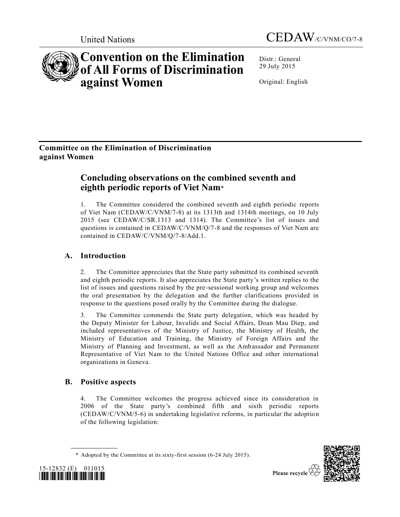



# **Convention on the Elimination of All Forms of Discrimination against Women**

Distr.: General 29 July 2015

Original: English

# **Committee on the Elimination of Discrimination against Women**

# **Concluding observations on the combined seventh and eighth periodic reports of Viet Nam**\*

1. The Committee considered the combined seventh and eighth periodic reports of Viet Nam [\(CEDAW/C/VNM/7-8\)](http://undocs.org/CEDAW/C/VNM/7) at its 1313th and 1314th meetings, on 10 July 2015 (see [CEDAW/C/SR.1313](http://undocs.org/CEDAW/C/SR.1313) and 1314). The Committee's list of issues and questions is contained in [CEDAW/C/VNM/Q/7-8](http://undocs.org/CEDAW/C/VNM/Q/7) and the responses of Viet Nam are contained in [CEDAW/C/VNM/Q/7-8/Add.1.](http://undocs.org/CEDAW/C/VNM/Q/7-8/Add.1)

## **A. Introduction**

2. The Committee appreciates that the State party submitted its combined seventh and eighth periodic reports. It also appreciates the State party's written replies to the list of issues and questions raised by the pre-sessional working group and welcomes the oral presentation by the delegation and the further clarifications provided in response to the questions posed orally by the Committee during the dialogue.

3. The Committee commends the State party delegation, which was headed by the Deputy Minister for Labour, Invalids and Social Affairs, Doan Mau Diep, and included representatives of the Ministry of Justice, the Ministry of Health, the Ministry of Education and Training, the Ministry of Foreign Affairs and the Ministry of Planning and Investment, as well as the Ambassador and Permanent Representative of Viet Nam to the United Nations Office and other international organizations in Geneva.

### **B. Positive aspects**

4. The Committee welcomes the progress achieved since its consideration in 2006 of the State party's combined fifth and sixth periodic reports [\(CEDAW/C/VNM/5-6\)](http://undocs.org/CEDAW/C/VNM/5) in undertaking legislative reforms, in particular the adoption of the following legislation:

<sup>\*</sup> Adopted by the Committee at its sixty-first session (6-24 July 2015).



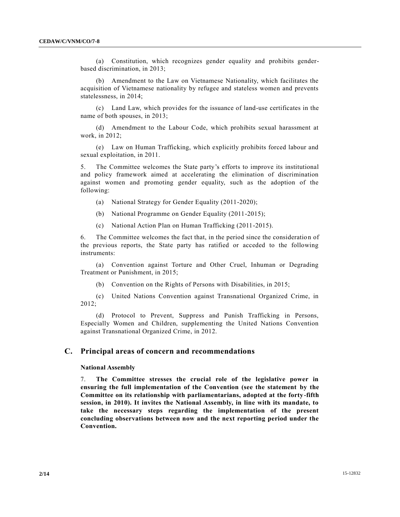(a) Constitution, which recognizes gender equality and prohibits genderbased discrimination, in 2013;

(b) Amendment to the Law on Vietnamese Nationality, which facilitates the acquisition of Vietnamese nationality by refugee and stateless women and prevents statelessness, in 2014;

(c) Land Law, which provides for the issuance of land-use certificates in the name of both spouses, in 2013;

(d) Amendment to the Labour Code, which prohibits sexual harassment at work, in 2012;

(e) Law on Human Trafficking, which explicitly prohibits forced labour and sexual exploitation, in 2011.

5. The Committee welcomes the State party's efforts to improve its institutional and policy framework aimed at accelerating the elimination of discrimination against women and promoting gender equality, such as the adoption of the following:

- (a) National Strategy for Gender Equality (2011-2020);
- (b) National Programme on Gender Equality (2011-2015);
- (c) National Action Plan on Human Trafficking (2011-2015).

6. The Committee welcomes the fact that, in the period since the consideratio n of the previous reports, the State party has ratified or acceded to the following instruments:

(a) Convention against Torture and Other Cruel, Inhuman or Degrading Treatment or Punishment, in 2015;

(b) Convention on the Rights of Persons with Disabilities, in 2015;

(c) United Nations Convention against Transnational Organized Crime, in 2012;

(d) Protocol to Prevent, Suppress and Punish Trafficking in Persons, Especially Women and Children, supplementing the United Nations Convention against Transnational Organized Crime, in 2012.

#### **C. Principal areas of concern and recommendations**

#### **National Assembly**

7. **The Committee stresses the crucial role of the legislative power in ensuring the full implementation of the Convention (see the statement by the Committee on its relationship with parliamentarians, adopted at the forty-fifth session, in 2010). It invites the National Assembly, in line with its mandate, to take the necessary steps regarding the implementation of the present concluding observations between now and the next reporting period under the Convention.**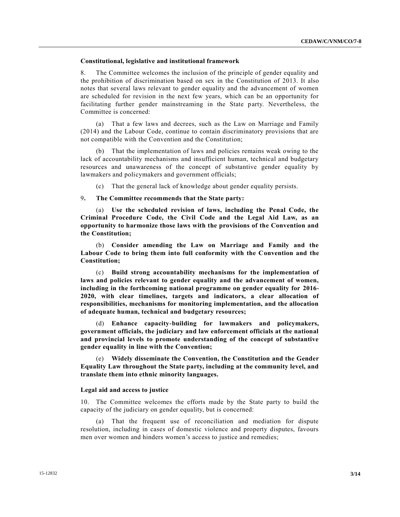#### **Constitutional, legislative and institutional framework**

8. The Committee welcomes the inclusion of the principle of gender equality and the prohibition of discrimination based on sex in the Constitution of 2013. It also notes that several laws relevant to gender equality and the advancement of women are scheduled for revision in the next few years, which can be an opportunity for facilitating further gender mainstreaming in the State party. Nevertheless, the Committee is concerned:

(a) That a few laws and decrees, such as the Law on Marriage and Family (2014) and the Labour Code, continue to contain discriminatory provisions that are not compatible with the Convention and the Constitution;

That the implementation of laws and policies remains weak owing to the lack of accountability mechanisms and insufficient human, technical and budgetary resources and unawareness of the concept of substantive gender equality by lawmakers and policymakers and government officials;

(c) That the general lack of knowledge about gender equality persists.

#### 9**. The Committee recommends that the State party:**

(a) **Use the scheduled revision of laws, including the Penal Code, the Criminal Procedure Code, the Civil Code and the Legal Aid Law, as an opportunity to harmonize those laws with the provisions of the Convention and the Constitution;**

(b) **Consider amending the Law on Marriage and Family and the Labour Code to bring them into full conformity with the Convention and the Constitution;**

(c) **Build strong accountability mechanisms for the implementation of laws and policies relevant to gender equality and the advancement of women, including in the forthcoming national programme on gender equality for 2016- 2020, with clear timelines, targets and indicators, a clear allocation of responsibilities, mechanisms for monitoring implementation, and the allocation of adequate human, technical and budgetary resources;**

(d) **Enhance capacity-building for lawmakers and policymakers, government officials, the judiciary and law enforcement officials at the national and provincial levels to promote understanding of the concept of substantive gender equality in line with the Convention;**

(e) **Widely disseminate the Convention, the Constitution and the Gender Equality Law throughout the State party, including at the community level, and translate them into ethnic minority languages.**

#### **Legal aid and access to justice**

10. The Committee welcomes the efforts made by the State party to build the capacity of the judiciary on gender equality, but is concerned:

(a) That the frequent use of reconciliation and mediation for dispute resolution, including in cases of domestic violence and property disputes, favours men over women and hinders women's access to justice and remedies;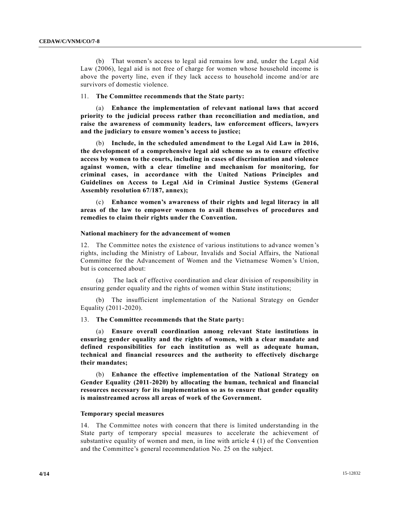(b) That women's access to legal aid remains low and, under the Legal Aid Law (2006), legal aid is not free of charge for women whose household income is above the poverty line, even if they lack access to household income and/or are survivors of domestic violence.

#### 11. **The Committee recommends that the State party:**

(a) **Enhance the implementation of relevant national laws that accord priority to the judicial process rather than reconciliation and mediation, and raise the awareness of community leaders, law enforcement officers, lawyers and the judiciary to ensure women's access to justice;**

(b) **Include, in the scheduled amendment to the Legal Aid Law in 2016, the development of a comprehensive legal aid scheme so as to ensure effective access by women to the courts, including in cases of discrimination and violence against women, with a clear timeline and mechanism for monitoring, for criminal cases, in accordance with the United Nations Principles and Guidelines on Access to Legal Aid in Criminal Justice Systems (General Assembly resolution 67/187, annex);**

(c) **Enhance women's awareness of their rights and legal literacy in all areas of the law to empower women to avail themselves of procedures and remedies to claim their rights under the Convention.**

#### **National machinery for the advancement of women**

12. The Committee notes the existence of various institutions to advance women 's rights, including the Ministry of Labour, Invalids and Social Affairs, the National Committee for the Advancement of Women and the Vietnamese Women's Union, but is concerned about:

(a) The lack of effective coordination and clear division of responsibility in ensuring gender equality and the rights of women within State institutions;

(b) The insufficient implementation of the National Strategy on Gender Equality (2011-2020).

#### 13. **The Committee recommends that the State party:**

(a) **Ensure overall coordination among relevant State institutions in ensuring gender equality and the rights of women, with a clear mandate and defined responsibilities for each institution as well as adequate human, technical and financial resources and the authority to effectively discharge their mandates;**

(b) **Enhance the effective implementation of the National Strategy on Gender Equality (2011-2020) by allocating the human, technical and financial resources necessary for its implementation so as to ensure that gender equality is mainstreamed across all areas of work of the Government.**

#### **Temporary special measures**

14. The Committee notes with concern that there is limited understanding in the State party of temporary special measures to accelerate the achievement of substantive equality of women and men, in line with article 4 (1) of the Convention and the Committee's general recommendation No. 25 on the subject.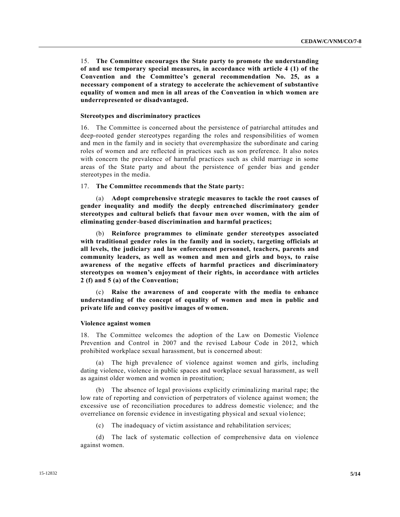15. **The Committee encourages the State party to promote the understanding of and use temporary special measures, in accordance with article 4 (1) of the Convention and the Committee's general recommendation No. 25, as a necessary component of a strategy to accelerate the achievement of substantive equality of women and men in all areas of the Convention in which women are underrepresented or disadvantaged.**

#### **Stereotypes and discriminatory practices**

16. The Committee is concerned about the persistence of patriarchal attitudes and deep-rooted gender stereotypes regarding the roles and responsibilities of women and men in the family and in society that overemphasize the subordinate and caring roles of women and are reflected in practices such as son preference. It also notes with concern the prevalence of harmful practices such as child marriage in some areas of the State party and about the persistence of gender bias and gender stereotypes in the media.

#### 17. **The Committee recommends that the State party:**

(a) **Adopt comprehensive strategic measures to tackle the root causes of gender inequality and modify the deeply entrenched discriminatory gender stereotypes and cultural beliefs that favour men over women, with the aim of eliminating gender-based discrimination and harmful practices;**

(b) **Reinforce programmes to eliminate gender stereotypes associated with traditional gender roles in the family and in society, targeting officials at all levels, the judiciary and law enforcement personnel, teachers, parents and community leaders, as well as women and men and girls and boys, to raise awareness of the negative effects of harmful practices and discriminatory stereotypes on women's enjoyment of their rights, in accordance with articles 2 (f) and 5 (a) of the Convention;**

(c) **Raise the awareness of and cooperate with the media to enhance understanding of the concept of equality of women and men in public and private life and convey positive images of women.**

#### **Violence against women**

18. The Committee welcomes the adoption of the Law on Domestic Violence Prevention and Control in 2007 and the revised Labour Code in 2012, which prohibited workplace sexual harassment, but is concerned about:

(a) The high prevalence of violence against women and girls, including dating violence, violence in public spaces and workplace sexual harassment, as well as against older women and women in prostitution;

(b) The absence of legal provisions explicitly criminalizing marital rape; the low rate of reporting and conviction of perpetrators of violence against women; the excessive use of reconciliation procedures to address domestic violence; and the overreliance on forensic evidence in investigating physical and sexual vio lence;

(c) The inadequacy of victim assistance and rehabilitation services;

(d) The lack of systematic collection of comprehensive data on violence against women.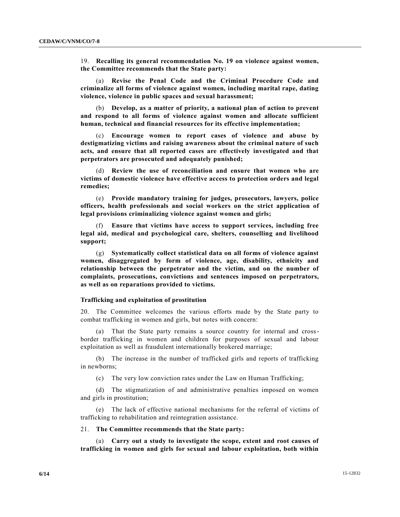19. **Recalling its general recommendation No. 19 on violence against women, the Committee recommends that the State party:**

(a) **Revise the Penal Code and the Criminal Procedure Code and criminalize all forms of violence against women, including marital rape, dating violence, violence in public spaces and sexual harassment;**

(b) **Develop, as a matter of priority, a national plan of action to prevent and respond to all forms of violence against women and allocate sufficient human, technical and financial resources for its effective implementation;**

**Encourage women to report cases of violence and abuse by destigmatizing victims and raising awareness about the criminal nature of such acts, and ensure that all reported cases are effectively investigated and that perpetrators are prosecuted and adequately punished;**

(d) **Review the use of reconciliation and ensure that women who are victims of domestic violence have effective access to protection orders and legal remedies;**

(e) **Provide mandatory training for judges, prosecutors, lawyers, police officers, health professionals and social workers on the strict application of legal provisions criminalizing violence against women and girls;**

(f) **Ensure that victims have access to support services, including free legal aid, medical and psychological care, shelters, counselling and livelihood support;**

(g) **Systematically collect statistical data on all forms of violence against women, disaggregated by form of violence, age, disability, ethnicity and relationship between the perpetrator and the victim, and on the number of complaints, prosecutions, convictions and sentences imposed on perpetrators, as well as on reparations provided to victims.**

#### **Trafficking and exploitation of prostitution**

20. The Committee welcomes the various efforts made by the State party to combat trafficking in women and girls, but notes with concern:

(a) That the State party remains a source country for internal and crossborder trafficking in women and children for purposes of sexual and labour exploitation as well as fraudulent internationally brokered marriage;

(b) The increase in the number of trafficked girls and reports of trafficking in newborns;

(c) The very low conviction rates under the Law on Human Trafficking;

(d) The stigmatization of and administrative penalties imposed on women and girls in prostitution;

(e) The lack of effective national mechanisms for the referral of victims of trafficking to rehabilitation and reintegration assistance.

#### 21. **The Committee recommends that the State party:**

(a) **Carry out a study to investigate the scope, extent and root causes of trafficking in women and girls for sexual and labour exploitation, both within**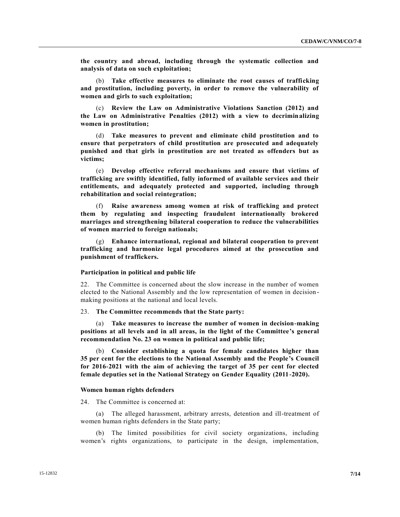**the country and abroad, including through the systematic collection and analysis of data on such exploitation;**

(b) **Take effective measures to eliminate the root causes of trafficking and prostitution, including poverty, in order to remove the vulnerability of women and girls to such exploitation;**

(c) **Review the Law on Administrative Violations Sanction (2012) and the Law on Administrative Penalties (2012) with a view to decriminalizing women in prostitution;**

(d) **Take measures to prevent and eliminate child prostitution and to ensure that perpetrators of child prostitution are prosecuted and adequately punished and that girls in prostitution are not treated as offenders but as victims;**

(e) **Develop effective referral mechanisms and ensure that victims of trafficking are swiftly identified, fully informed of available services and their entitlements, and adequately protected and supported, including through rehabilitation and social reintegration;**

(f) **Raise awareness among women at risk of trafficking and protect them by regulating and inspecting fraudulent internationally brokered marriages and strengthening bilateral cooperation to reduce the vulnerabilities of women married to foreign nationals;** 

(g) **Enhance international, regional and bilateral cooperation to prevent trafficking and harmonize legal procedures aimed at the prosecution and punishment of traffickers.**

#### **Participation in political and public life**

22. The Committee is concerned about the slow increase in the number of women elected to the National Assembly and the low representation of women in decision making positions at the national and local levels.

#### 23. **The Committee recommends that the State party:**

(a) **Take measures to increase the number of women in decision-making positions at all levels and in all areas, in the light of the Committee's general recommendation No. 23 on women in political and public life;**

(b) **Consider establishing a quota for female candidates higher than 35 per cent for the elections to the National Assembly and the People's Council for 2016-2021 with the aim of achieving the target of 35 per cent for elected female deputies set in the National Strategy on Gender Equality (2011-2020).**

#### **Women human rights defenders**

24. The Committee is concerned at:

(a) The alleged harassment, arbitrary arrests, detention and ill-treatment of women human rights defenders in the State party;

(b) The limited possibilities for civil society organizations, including women's rights organizations, to participate in the design, implementation,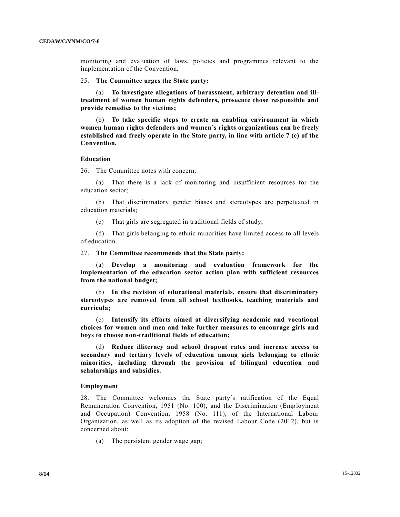monitoring and evaluation of laws, policies and programmes relevant to the implementation of the Convention.

25. **The Committee urges the State party:**

(a) **To investigate allegations of harassment, arbitrary detention and illtreatment of women human rights defenders, prosecute those responsible and provide remedies to the victims;**

(b) **To take specific steps to create an enabling environment in which women human rights defenders and women's rights organizations can be freely established and freely operate in the State party, in line with article 7 (c) of the Convention.**

#### **Education**

26. The Committee notes with concern:

(a) That there is a lack of monitoring and insufficient resources for the education sector;

(b) That discriminatory gender biases and stereotypes are perpetuated in education materials;

(c) That girls are segregated in traditional fields of study;

(d) That girls belonging to ethnic minorities have limited access to all levels of education.

27. **The Committee recommends that the State party:**

(a) **Develop a monitoring and evaluation framework for the implementation of the education sector action plan with sufficient resources from the national budget;**

(b) **In the revision of educational materials, ensure that discriminatory stereotypes are removed from all school textbooks, teaching materials and curricula;**

(c) **Intensify its efforts aimed at diversifying academic and vocational choices for women and men and take further measures to encourage girls and boys to choose non-traditional fields of education;**

(d) **Reduce illiteracy and school dropout rates and increase access to secondary and tertiary levels of education among girls belonging to ethnic minorities, including through the provision of bilingual education and scholarships and subsidies.**

#### **Employment**

28. The Committee welcomes the State party's ratification of the Equal Remuneration Convention, 1951 (No. 100), and the Discrimination (Employment and Occupation) Convention, 1958 (No. 111), of the International Labour Organization, as well as its adoption of the revised Labour Code (2012), but is concerned about:

(a) The persistent gender wage gap;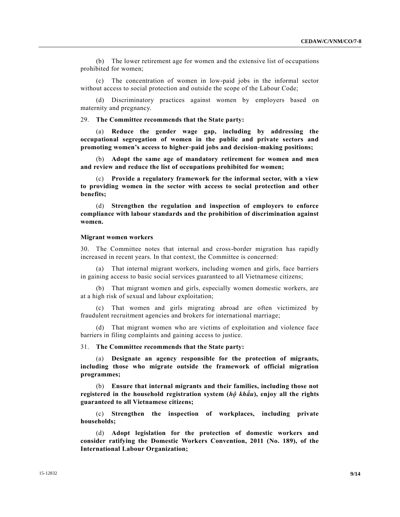(b) The lower retirement age for women and the extensive list of occupations prohibited for women;

(c) The concentration of women in low-paid jobs in the informal sector without access to social protection and outside the scope of the Labour Code;

(d) Discriminatory practices against women by employers based on maternity and pregnancy.

29. **The Committee recommends that the State party:**

(a) **Reduce the gender wage gap, including by addressing the occupational segregation of women in the public and private sectors and promoting women's access to higher-paid jobs and decision-making positions;**

(b) **Adopt the same age of mandatory retirement for women and men and review and reduce the list of occupations prohibited for women;**

(c) **Provide a regulatory framework for the informal sector, with a view to providing women in the sector with access to social protection and other benefits;**

(d) **Strengthen the regulation and inspection of employers to enforce compliance with labour standards and the prohibition of discrimination against women.**

#### **Migrant women workers**

30. The Committee notes that internal and cross-border migration has rapidly increased in recent years. In that context, the Committee is concerned:

(a) That internal migrant workers, including women and girls, face barriers in gaining access to basic social services guaranteed to all Vietnamese citizens;

(b) That migrant women and girls, especially women domestic workers, are at a high risk of sexual and labour exploitation;

That women and girls migrating abroad are often victimized by fraudulent recruitment agencies and brokers for international marriage;

(d) That migrant women who are victims of exploitation and violence face barriers in filing complaints and gaining access to justice.

31. **The Committee recommends that the State party:**

(a) **Designate an agency responsible for the protection of migrants, including those who migrate outside the framework of official migration programmes;**

(b) **Ensure that internal migrants and their families, including those not registered in the household registration system (***hộ khẩu***), enjoy all the rights guaranteed to all Vietnamese citizens;**

(c) **Strengthen the inspection of workplaces, including private households;**

(d) **Adopt legislation for the protection of domestic workers and consider ratifying the Domestic Workers Convention, 2011 (No. 189), of the International Labour Organization;**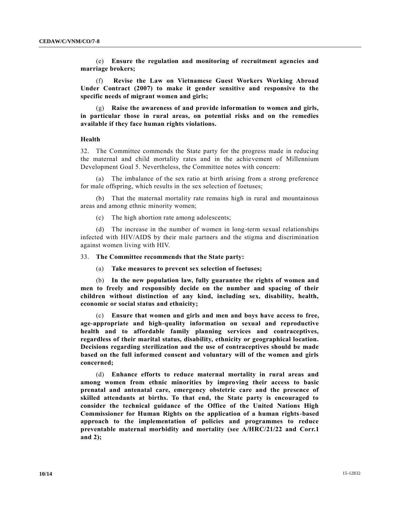(e) **Ensure the regulation and monitoring of recruitment agencies and marriage brokers;**

(f) **Revise the Law on Vietnamese Guest Workers Working Abroad Under Contract (2007) to make it gender sensitive and responsive to the specific needs of migrant women and girls;**

(g) **Raise the awareness of and provide information to women and girls, in particular those in rural areas, on potential risks and on the remedies available if they face human rights violations.**

#### **Health**

32. The Committee commends the State party for the progress made in reducing the maternal and child mortality rates and in the achievement of Millennium Development Goal 5. Nevertheless, the Committee notes with concern:

(a) The imbalance of the sex ratio at birth arising from a strong preference for male offspring, which results in the sex selection of foetuses;

(b) That the maternal mortality rate remains high in rural and mountainous areas and among ethnic minority women;

(c) The high abortion rate among adolescents;

(d) The increase in the number of women in long-term sexual relationships infected with HIV/AIDS by their male partners and the stigma and discrimination against women living with HIV.

#### 33. **The Committee recommends that the State party:**

(a) **Take measures to prevent sex selection of foetuses;**

(b) **In the new population law, fully guarantee the rights of women and men to freely and responsibly decide on the number and spacing of their children without distinction of any kind, including sex, disability, health, economic or social status and ethnicity;**

(c) **Ensure that women and girls and men and boys have access to free, age-appropriate and high-quality information on sexual and reproductive health and to affordable family planning services and contraceptives, regardless of their marital status, disability, ethnicity or geographical location. Decisions regarding sterilization and the use of contraceptives should be made based on the full informed consent and voluntary will of the women and girls concerned;**

(d) **Enhance efforts to reduce maternal mortality in rural areas and among women from ethnic minorities by improving their access to basic prenatal and antenatal care, emergency obstetric care and the presence of skilled attendants at births. To that end, the State party is encouraged to consider the technical guidance of the Office of the United Nations High Commissioner for Human Rights on the application of a human rights-based approach to the implementation of policies and programmes to reduce preventable maternal morbidity and mortality (see [A/HRC/21/22](http://undocs.org/A/HRC/21/22) and Corr.1 and 2);**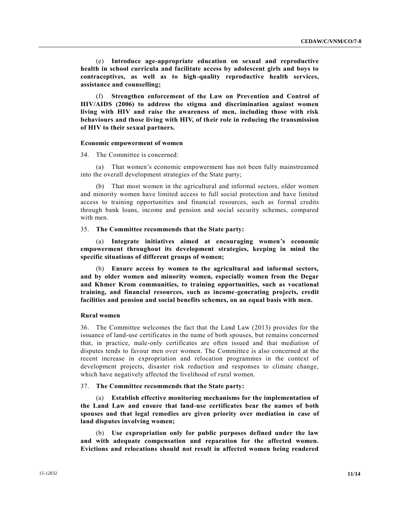(e) **Introduce age-appropriate education on sexual and reproductive health in school curricula and facilitate access by adolescent girls and boys to contraceptives, as well as to high-quality reproductive health services, assistance and counselling;**

(f) **Strengthen enforcement of the Law on Prevention and Control of HIV/AIDS (2006) to address the stigma and discrimination against women living with HIV and raise the awareness of men, including those with risk behaviours and those living with HIV, of their role in reducing the transmission of HIV to their sexual partners.**

#### **Economic empowerment of women**

34. The Committee is concerned:

(a) That women's economic empowerment has not been fully mainstreamed into the overall development strategies of the State party;

(b) That most women in the agricultural and informal sectors, older women and minority women have limited access to full social protection and have limited access to training opportunities and financial resources, such as formal credits through bank loans, income and pension and social security schemes, compared with men.

#### 35. **The Committee recommends that the State party:**

(a) **Integrate initiatives aimed at encouraging women's economic empowerment throughout its development strategies, keeping in mind the specific situations of different groups of women;**

(b) **Ensure access by women to the agricultural and informal sectors, and by older women and minority women, especially women from the Degar and Khmer Krom communities, to training opportunities, such as vocational training, and financial resources, such as income-generating projects, credit facilities and pension and social benefits schemes, on an equal basis with men.**

#### **Rural women**

36. The Committee welcomes the fact that the Land Law (2013) provides for the issuance of land-use certificates in the name of both spouses, but remains concerned that, in practice, male-only certificates are often issued and that mediation of disputes tends to favour men over women. The Committee is also concerned at the recent increase in expropriation and relocation programmes in the context of development projects, disaster risk reduction and responses to climate change, which have negatively affected the livelihood of rural women.

#### 37. **The Committee recommends that the State party:**

(a) **Establish effective monitoring mechanisms for the implementation of the Land Law and ensure that land-use certificates bear the names of both spouses and that legal remedies are given priority over mediation in case of land disputes involving women;**

(b) **Use expropriation only for public purposes defined under the law and with adequate compensation and reparation for the affected women. Evictions and relocations should not result in affected women being rendered**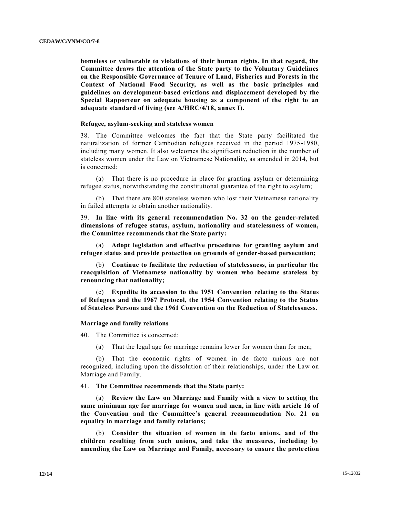**homeless or vulnerable to violations of their human rights. In that regard, the Committee draws the attention of the State party to the Voluntary Guidelines on the Responsible Governance of Tenure of Land, Fisheries and Forests in the Context of National Food Security, as well as the basic principles and guidelines on development-based evictions and displacement developed by the Special Rapporteur on adequate housing as a component of the right to an adequate standard of living (see [A/HRC/4/18,](http://undocs.org/A/HRC/4/18) annex I).**

#### **Refugee, asylum-seeking and stateless women**

38. The Committee welcomes the fact that the State party facilitated the naturalization of former Cambodian refugees received in the period 1975 -1980, including many women. It also welcomes the significant reduction in the number of stateless women under the Law on Vietnamese Nationality, as amended in 2014, but is concerned:

(a) That there is no procedure in place for granting asylum or determining refugee status, notwithstanding the constitutional guarantee of the right to asylum;

(b) That there are 800 stateless women who lost their Vietnamese nationality in failed attempts to obtain another nationality.

39. **In line with its general recommendation No. 32 on the gender-related dimensions of refugee status, asylum, nationality and statelessness of women, the Committee recommends that the State party:**

(a) **Adopt legislation and effective procedures for granting asylum and refugee status and provide protection on grounds of gender-based persecution;**

(b) **Continue to facilitate the reduction of statelessness, in particular the reacquisition of Vietnamese nationality by women who became stateless by renouncing that nationality;**

(c) **Expedite its accession to the 1951 Convention relating to the Status of Refugees and the 1967 Protocol, the 1954 Convention relating to the Status of Stateless Persons and the 1961 Convention on the Reduction of Statelessness.**

#### **Marriage and family relations**

40. The Committee is concerned:

(a) That the legal age for marriage remains lower for women than for men;

(b) That the economic rights of women in de facto unions are not recognized, including upon the dissolution of their relationships, under the Law on Marriage and Family.

#### 41. **The Committee recommends that the State party:**

(a) **Review the Law on Marriage and Family with a view to setting the same minimum age for marriage for women and men, in line with article 16 of the Convention and the Committee's general recommendation No. 21 on equality in marriage and family relations;**

(b) **Consider the situation of women in de facto unions, and of the children resulting from such unions, and take the measures, including by amending the Law on Marriage and Family, necessary to ensure the protection**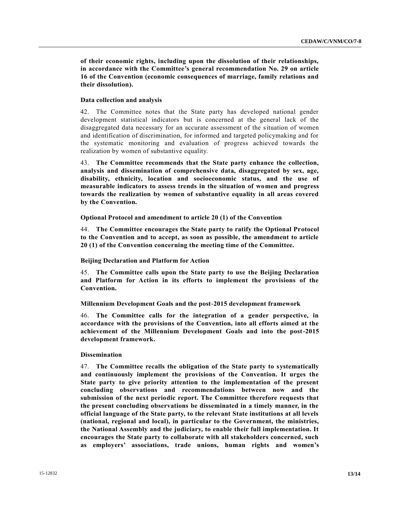**of their economic rights, including upon the dissolution of their relationships, in accordance with the Committee's general recommendation No. 29 on article 16 of the Convention (economic consequences of marriage, family relations and their dissolution).**

#### **Data collection and analysis**

42. The Committee notes that the State party has developed national gender development statistical indicators but is concerned at the general lack of the disaggregated data necessary for an accurate assessment of the situation of women and identification of discrimination, for informed and targeted policymaking and for the systematic monitoring and evaluation of progress achieved towards the realization by women of substantive equality.

43. **The Committee recommends that the State party enhance the collection, analysis and dissemination of comprehensive data, disaggregated by sex, age, disability, ethnicity, location and socioeconomic status, and the use of measurable indicators to assess trends in the situation of women and progress towards the realization by women of substantive equality in all areas covered by the Convention.**

**Optional Protocol and amendment to article 20 (1) of the Convention**

44. **The Committee encourages the State party to ratify the Optional Protocol to the Convention and to accept, as soon as possible, the amendment to article 20 (1) of the Convention concerning the meeting time of the Committee.**

#### **Beijing Declaration and Platform for Action**

45. **The Committee calls upon the State party to use the Beijing Declaration and Platform for Action in its efforts to implement the provisions of the Convention.**

**Millennium Development Goals and the post-2015 development framework**

46. **The Committee calls for the integration of a gender perspective, in accordance with the provisions of the Convention, into all efforts aimed at the achievement of the Millennium Development Goals and into the post-2015 development framework.**

#### **Dissemination**

47. **The Committee recalls the obligation of the State party to systematically and continuously implement the provisions of the Convention. It urges the State party to give priority attention to the implementation of the present concluding observations and recommendations between now and the submission of the next periodic report. The Committee therefore requests that the present concluding observations be disseminated in a timely manner, in the official language of the State party, to the relevant State institutions at all levels (national, regional and local), in particular to the Government, the ministries, the National Assembly and the judiciary, to enable their full implementation. It encourages the State party to collaborate with all stakeholders concerned, such as employers' associations, trade unions, human rights and women's**